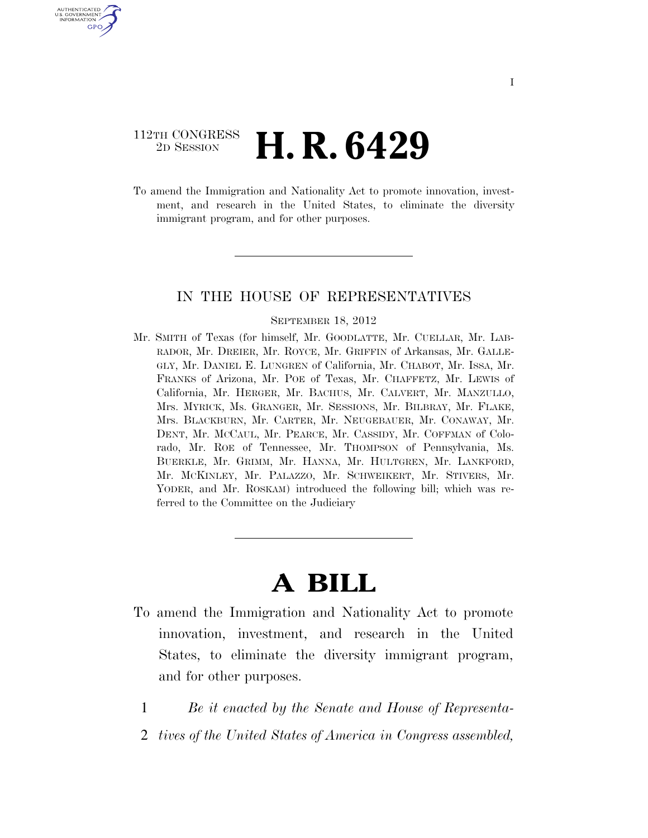### 112TH CONGRESS <sup>2D SESSION</sup> **H. R. 6429**

U.S. GOVERNMENT GPO

> To amend the Immigration and Nationality Act to promote innovation, investment, and research in the United States, to eliminate the diversity immigrant program, and for other purposes.

#### IN THE HOUSE OF REPRESENTATIVES

#### SEPTEMBER 18, 2012

Mr. SMITH of Texas (for himself, Mr. GOODLATTE, Mr. CUELLAR, Mr. LAB-RADOR, Mr. DREIER, Mr. ROYCE, Mr. GRIFFIN of Arkansas, Mr. GALLE-GLY, Mr. DANIEL E. LUNGREN of California, Mr. CHABOT, Mr. ISSA, Mr. FRANKS of Arizona, Mr. POE of Texas, Mr. CHAFFETZ, Mr. LEWIS of California, Mr. HERGER, Mr. BACHUS, Mr. CALVERT, Mr. MANZULLO, Mrs. MYRICK, Ms. GRANGER, Mr. SESSIONS, Mr. BILBRAY, Mr. FLAKE, Mrs. BLACKBURN, Mr. CARTER, Mr. NEUGEBAUER, Mr. CONAWAY, Mr. DENT, Mr. MCCAUL, Mr. PEARCE, Mr. CASSIDY, Mr. COFFMAN of Colorado, Mr. ROE of Tennessee, Mr. THOMPSON of Pennsylvania, Ms. BUERKLE, Mr. GRIMM, Mr. HANNA, Mr. HULTGREN, Mr. LANKFORD, Mr. MCKINLEY, Mr. PALAZZO, Mr. SCHWEIKERT, Mr. STIVERS, Mr. YODER, and Mr. ROSKAM) introduced the following bill; which was referred to the Committee on the Judiciary

# **A BILL**

- To amend the Immigration and Nationality Act to promote innovation, investment, and research in the United States, to eliminate the diversity immigrant program, and for other purposes.
	- 1 *Be it enacted by the Senate and House of Representa-*
	- 2 *tives of the United States of America in Congress assembled,*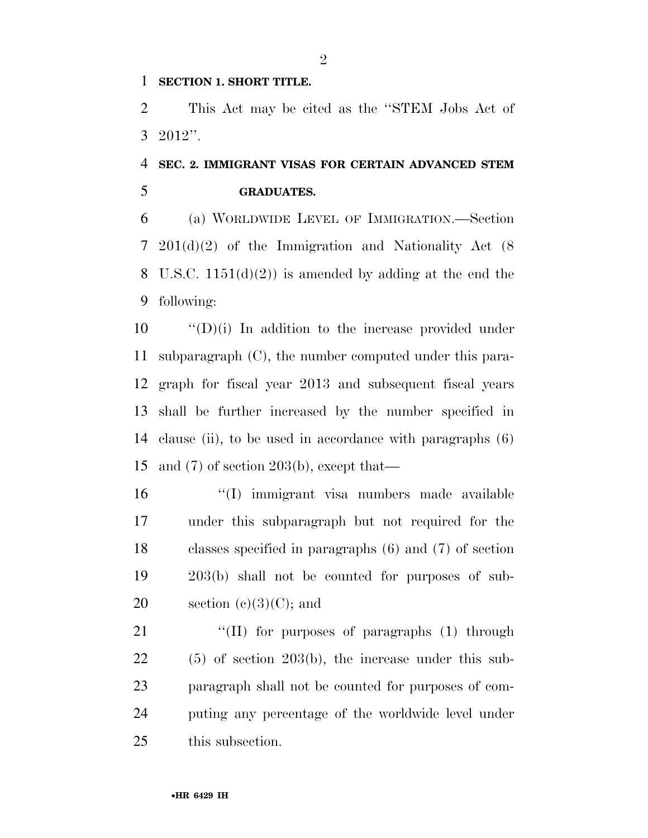#### **SECTION 1. SHORT TITLE.**

 This Act may be cited as the ''STEM Jobs Act of 2012''.

## **SEC. 2. IMMIGRANT VISAS FOR CERTAIN ADVANCED STEM GRADUATES.**

 (a) WORLDWIDE LEVEL OF IMMIGRATION.—Section 201(d)(2) of the Immigration and Nationality Act (8 8 U.S.C.  $1151(d)(2)$  is amended by adding at the end the following:

 ''(D)(i) In addition to the increase provided under subparagraph (C), the number computed under this para- graph for fiscal year 2013 and subsequent fiscal years shall be further increased by the number specified in clause (ii), to be used in accordance with paragraphs (6) and (7) of section 203(b), except that—

- ''(I) immigrant visa numbers made available under this subparagraph but not required for the classes specified in paragraphs (6) and (7) of section 203(b) shall not be counted for purposes of sub-20 section  $(e)(3)(C)$ ; and
- 21 "(II) for purposes of paragraphs (1) through (5) of section 203(b), the increase under this sub- paragraph shall not be counted for purposes of com- puting any percentage of the worldwide level under this subsection.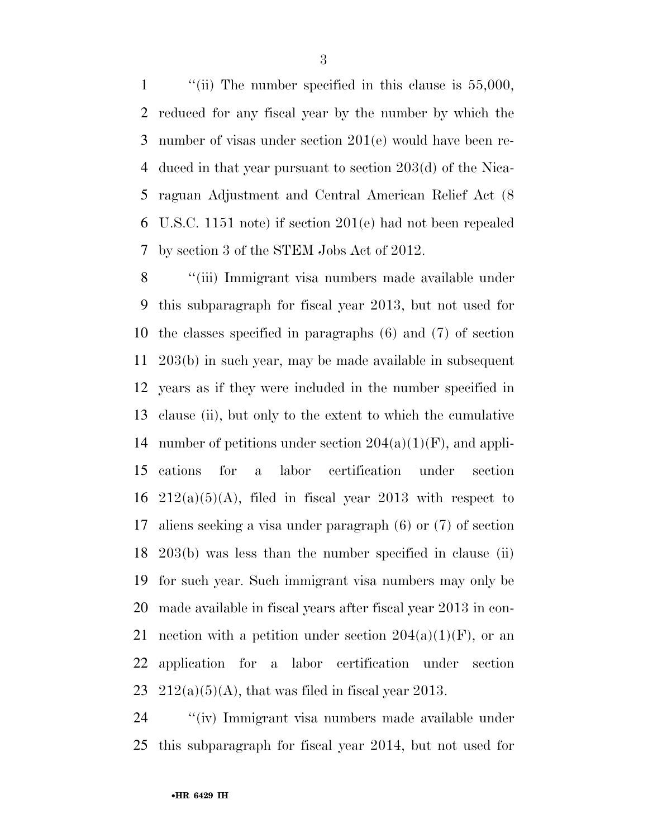1 "(ii) The number specified in this clause is 55,000, reduced for any fiscal year by the number by which the number of visas under section 201(e) would have been re- duced in that year pursuant to section 203(d) of the Nica- raguan Adjustment and Central American Relief Act (8 U.S.C. 1151 note) if section 201(e) had not been repealed by section 3 of the STEM Jobs Act of 2012.

 ''(iii) Immigrant visa numbers made available under this subparagraph for fiscal year 2013, but not used for the classes specified in paragraphs (6) and (7) of section 203(b) in such year, may be made available in subsequent years as if they were included in the number specified in clause (ii), but only to the extent to which the cumulative 14 number of petitions under section  $204(a)(1)(F)$ , and appli- cations for a labor certification under section  $212(a)(5)(A)$ , filed in fiscal year 2013 with respect to aliens seeking a visa under paragraph (6) or (7) of section 203(b) was less than the number specified in clause (ii) for such year. Such immigrant visa numbers may only be made available in fiscal years after fiscal year 2013 in con-21 nection with a petition under section  $204(a)(1)(F)$ , or an application for a labor certification under section  $212(a)(5)(A)$ , that was filed in fiscal year 2013.

 ''(iv) Immigrant visa numbers made available under this subparagraph for fiscal year 2014, but not used for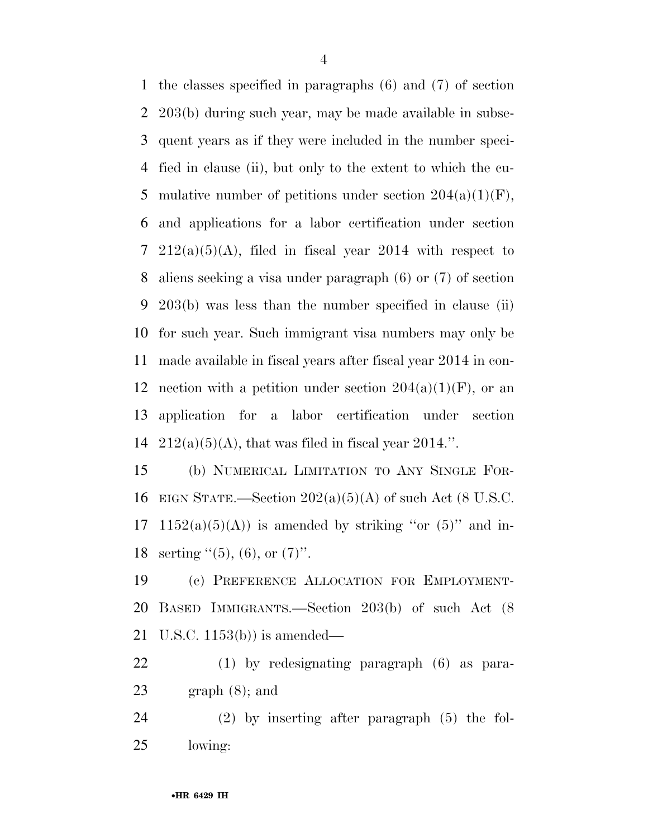the classes specified in paragraphs (6) and (7) of section 203(b) during such year, may be made available in subse- quent years as if they were included in the number speci- fied in clause (ii), but only to the extent to which the cu-5 mulative number of petitions under section  $204(a)(1)(F)$ , and applications for a labor certification under section 7 212(a)(5)(A), filed in fiscal year 2014 with respect to aliens seeking a visa under paragraph (6) or (7) of section 203(b) was less than the number specified in clause (ii) for such year. Such immigrant visa numbers may only be made available in fiscal years after fiscal year 2014 in con-12 nection with a petition under section  $204(a)(1)(F)$ , or an application for a labor certification under section  $212(a)(5)(A)$ , that was filed in fiscal year 2014.".

 (b) NUMERICAL LIMITATION TO ANY SINGLE FOR-16 EIGN STATE.—Section  $202(a)(5)(A)$  of such Act (8 U.S.C. 17 1152(a)(5)(A)) is amended by striking "or  $(5)$ " and in-18 serting  $\cdot\cdot(5)$ , (6), or  $(7)$ ".

 (c) PREFERENCE ALLOCATION FOR EMPLOYMENT- BASED IMMIGRANTS.—Section 203(b) of such Act (8 U.S.C. 1153(b)) is amended—

 (1) by redesignating paragraph (6) as para-23 graph  $(8)$ ; and

 (2) by inserting after paragraph (5) the fol-lowing: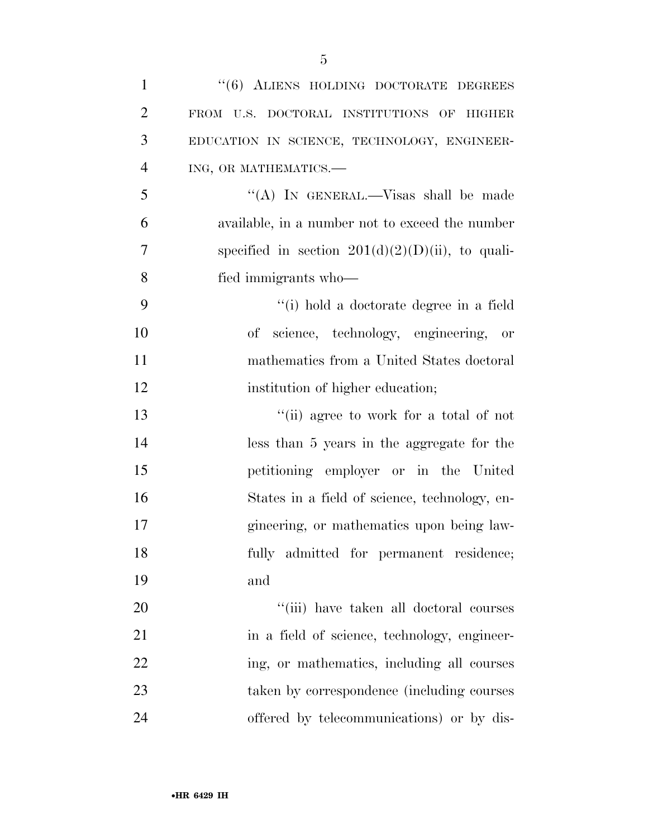| $\mathbf{1}$   | "(6) ALIENS HOLDING DOCTORATE DEGREES               |
|----------------|-----------------------------------------------------|
| $\overline{2}$ | FROM U.S. DOCTORAL INSTITUTIONS OF HIGHER           |
| 3              | EDUCATION IN SCIENCE, TECHNOLOGY, ENGINEER-         |
| $\overline{4}$ | ING, OR MATHEMATICS.-                               |
| 5              | "(A) IN GENERAL.—Visas shall be made                |
| 6              | available, in a number not to exceed the number     |
| 7              | specified in section $201(d)(2)(D(ii))$ , to quali- |
| 8              | fied immigrants who-                                |
| 9              | "(i) hold a doctorate degree in a field             |
| 10             | science, technology, engineering, or<br>оf          |
| 11             | mathematics from a United States doctoral           |
| 12             | institution of higher education;                    |
| 13             | "(ii) agree to work for a total of not              |
| 14             | less than 5 years in the aggregate for the          |
| 15             | petitioning employer or in the United               |
| 16             | States in a field of science, technology, en-       |
| 17             | gineering, or mathematics upon being law-           |
| 18             | fully admitted for permanent residence;             |
| 19             | and                                                 |
| 20             | "(iii) have taken all doctoral courses              |
| 21             | in a field of science, technology, engineer-        |
| 22             | ing, or mathematics, including all courses          |
| 23             | taken by correspondence (including courses          |
| 24             | offered by telecommunications) or by dis-           |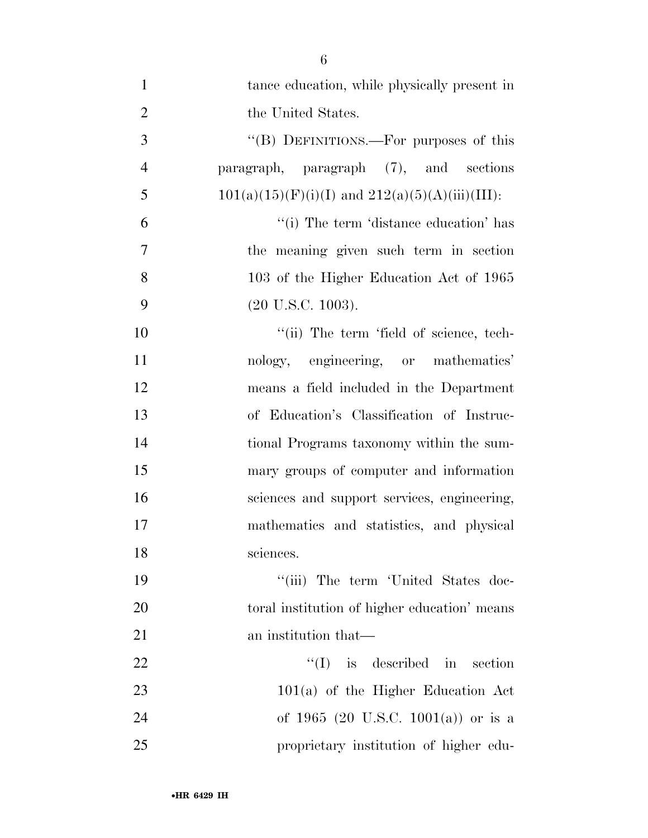tance education, while physically present in 2 the United States. 3 "(B) DEFINITIONS.—For purposes of this paragraph, paragraph (7), and sections 5 101(a)(15)(F)(i)(I) and  $212(a)(5)(A)(iii)(III)$ : ''(i) The term 'distance education' has the meaning given such term in section 103 of the Higher Education Act of 1965 (20 U.S.C. 1003).  $\frac{1}{10}$  The term 'field of science, tech- nology, engineering, or mathematics' means a field included in the Department of Education's Classification of Instruc- tional Programs taxonomy within the sum- mary groups of computer and information sciences and support services, engineering, mathematics and statistics, and physical 18 sciences. 19 ''(iii) The term 'United States doc- toral institution of higher education' means 21 an institution that— 22 ''(I) is described in section 23 101(a) of the Higher Education Act of 1965 (20 U.S.C. 1001(a)) or is a proprietary institution of higher edu-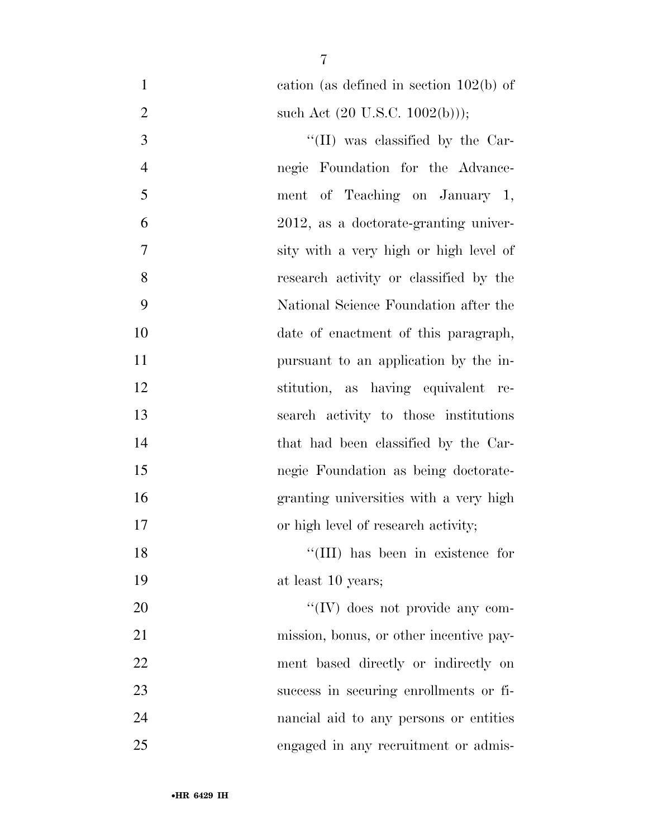| $\mathbf{1}$   | cation (as defined in section $102(b)$ ) of |
|----------------|---------------------------------------------|
| $\overline{2}$ | such Act $(20 \text{ U.S.C. } 1002(b))$ ;   |
| 3              | $\lq\lq$ (II) was classified by the Car-    |
| $\overline{4}$ | negie Foundation for the Advance-           |
| 5              | ment of Teaching on January 1,              |
| 6              | 2012, as a doctorate-granting univer-       |
| 7              | sity with a very high or high level of      |
| 8              | research activity or classified by the      |
| 9              | National Science Foundation after the       |
| 10             | date of enactment of this paragraph,        |
| 11             | pursuant to an application by the in-       |
| 12             | stitution, as having equivalent re-         |
| 13             | search activity to those institutions       |
| 14             | that had been classified by the Car-        |
| 15             | negie Foundation as being doctorate-        |
| 16             | granting universities with a very high      |
| 17             | or high level of research activity;         |
| 18             | "(III) has been in existence for            |
| 19             | at least 10 years;                          |
| 20             | $\lq\lq$ (IV) does not provide any com-     |
| 21             | mission, bonus, or other incentive pay-     |
| 22             | ment based directly or indirectly on        |
| 23             | success in securing enrollments or fi-      |
| 24             | nancial aid to any persons or entities      |
| 25             | engaged in any recruitment or admis-        |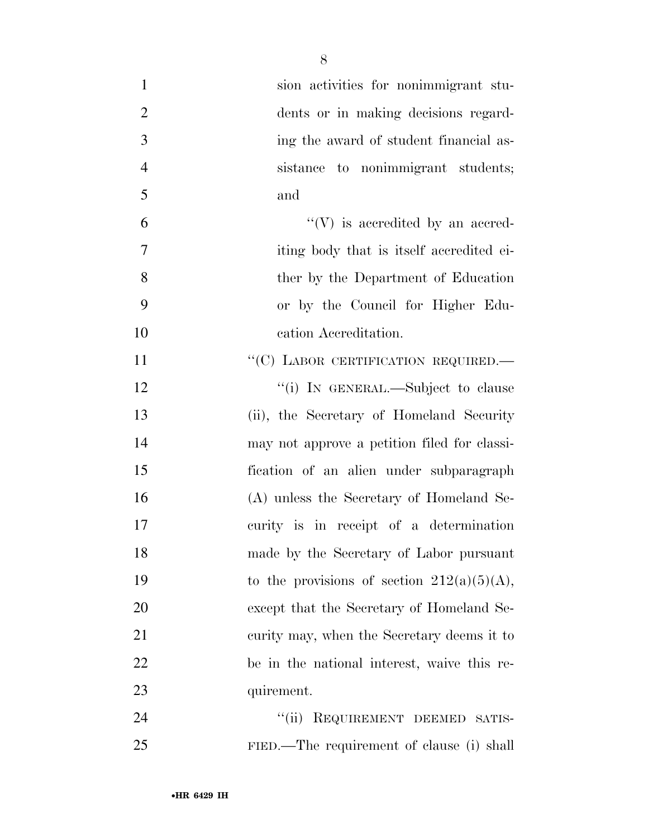| $\mathbf{1}$   | sion activities for nonimmigrant stu-         |
|----------------|-----------------------------------------------|
| $\overline{2}$ | dents or in making decisions regard-          |
| 3              | ing the award of student financial as-        |
| $\overline{4}$ | sistance to nonimmigrant students;            |
| 5              | and                                           |
| 6              | $\lq\lq(V)$ is accredited by an accred-       |
| $\tau$         | iting body that is itself accredited ei-      |
| 8              | ther by the Department of Education           |
| 9              | or by the Council for Higher Edu-             |
| 10             | cation Accreditation.                         |
| 11             | "(C) LABOR CERTIFICATION REQUIRED.-           |
| 12             | "(i) IN GENERAL.—Subject to clause            |
| 13             | (ii), the Secretary of Homeland Security      |
| 14             | may not approve a petition filed for classi-  |
| 15             | fication of an alien under subparagraph       |
| 16             | (A) unless the Secretary of Homeland Se-      |
| 17             | curity is in receipt of a determination       |
| 18             | made by the Secretary of Labor pursuant       |
| 19             | to the provisions of section $212(a)(5)(A)$ , |
| 20             | except that the Secretary of Homeland Se-     |
| 21             | curity may, when the Secretary deems it to    |
| 22             | be in the national interest, waive this re-   |
| 23             | quirement.                                    |
| 24             | ``(ii)<br>REQUIREMENT DEEMED SATIS-           |
| 25             | FIED.—The requirement of clause (i) shall     |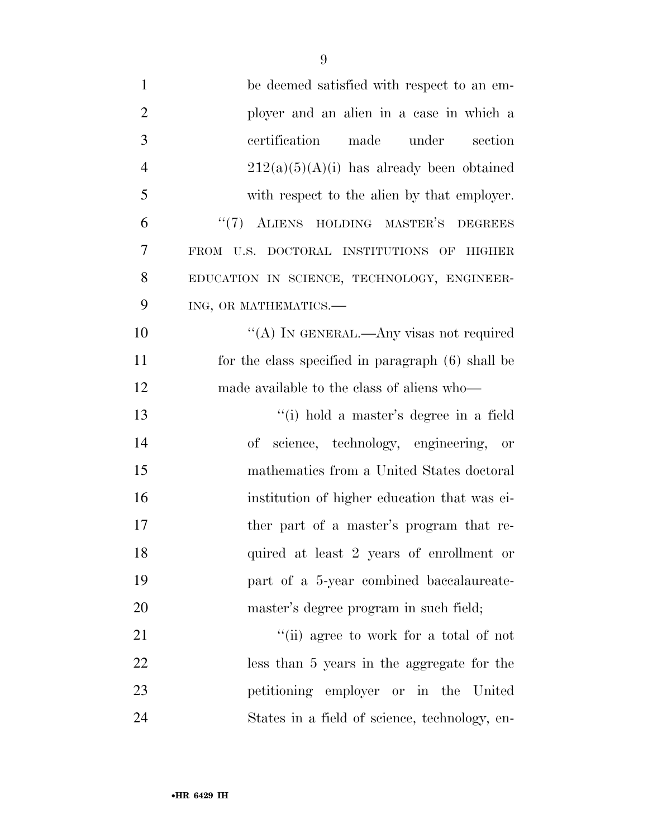| $\mathbf{1}$   | be deemed satisfied with respect to an em-        |
|----------------|---------------------------------------------------|
| $\overline{2}$ | ployer and an alien in a case in which a          |
| 3              | certification<br>made<br>under<br>section         |
| $\overline{4}$ | $212(a)(5)(A)(i)$ has already been obtained       |
| 5              | with respect to the alien by that employer.       |
| 6              | "(7) ALIENS HOLDING MASTER'S DEGREES              |
| $\overline{7}$ | FROM U.S. DOCTORAL INSTITUTIONS OF HIGHER         |
| 8              | EDUCATION IN SCIENCE, TECHNOLOGY, ENGINEER-       |
| 9              | ING, OR MATHEMATICS.-                             |
| 10             | "(A) IN GENERAL.—Any visas not required           |
| 11             | for the class specified in paragraph (6) shall be |
| 12             | made available to the class of aliens who—        |
| 13             | "(i) hold a master's degree in a field            |
| 14             | of science, technology, engineering, or           |
| 15             | mathematics from a United States doctoral         |
| 16             | institution of higher education that was ei-      |
| 17             | ther part of a master's program that re-          |
| 18             | quired at least 2 years of enrollment or          |
| 19             | part of a 5-year combined baccalaureate-          |
| 20             | master's degree program in such field;            |
| 21             | "(ii) agree to work for a total of not            |
| 22             | less than 5 years in the aggregate for the        |
| 23             | petitioning employer or in the United             |
| 24             | States in a field of science, technology, en-     |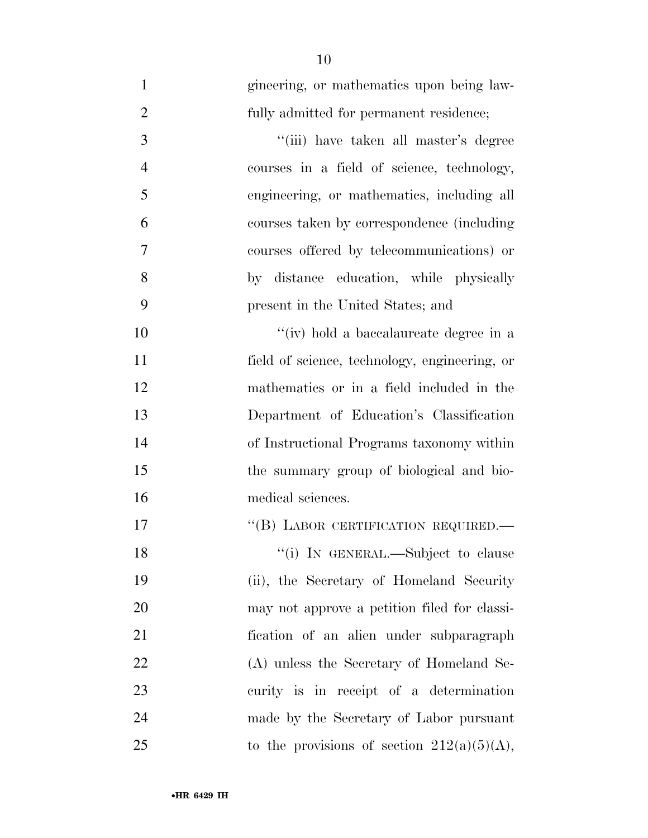| $\mathbf{1}$   | gineering, or mathematics upon being law-     |
|----------------|-----------------------------------------------|
| $\overline{2}$ | fully admitted for permanent residence;       |
| 3              | "(iii) have taken all master's degree         |
| $\overline{4}$ | courses in a field of science, technology,    |
| 5              | engineering, or mathematics, including all    |
| 6              | courses taken by correspondence (including    |
| 7              | courses offered by telecommunications) or     |
| 8              | by distance education, while physically       |
| 9              | present in the United States; and             |
| 10             | "(iv) hold a baccalaureate degree in a        |
| 11             | field of science, technology, engineering, or |
| 12             | mathematics or in a field included in the     |
| 13             | Department of Education's Classification      |
| 14             | of Instructional Programs taxonomy within     |
| 15             | the summary group of biological and bio-      |
| 16             | medical sciences.                             |
| 17             | "(B) LABOR CERTIFICATION REQUIRED.—           |
| 18             | "(i) IN GENERAL.—Subject to clause            |
| 19             | (ii), the Secretary of Homeland Security      |
| 20             | may not approve a petition filed for classi-  |
| 21             | fication of an alien under subparagraph       |
| 22             | (A) unless the Secretary of Homeland Se-      |
| 23             | curity is in receipt of a determination       |
| 24             | made by the Secretary of Labor pursuant       |
| 25             | to the provisions of section $212(a)(5)(A)$ , |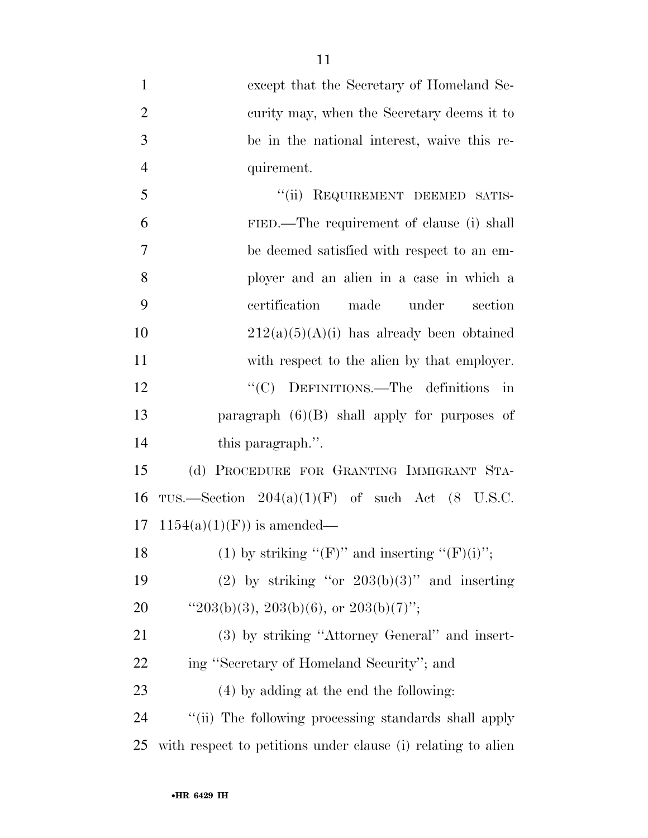| $\mathbf{1}$   | except that the Secretary of Homeland Se-                    |
|----------------|--------------------------------------------------------------|
| $\overline{2}$ | curity may, when the Secretary deems it to                   |
| 3              | be in the national interest, waive this re-                  |
| 4              | quirement.                                                   |
| 5              | "(ii) REQUIREMENT DEEMED SATIS-                              |
| 6              | FIED.—The requirement of clause (i) shall                    |
| $\overline{7}$ | be deemed satisfied with respect to an em-                   |
| 8              | ployer and an alien in a case in which a                     |
| 9              | certification<br>made<br>under<br>section                    |
| 10             | $212(a)(5)(A)(i)$ has already been obtained                  |
| 11             | with respect to the alien by that employer.                  |
| 12             | "(C) DEFINITIONS.—The definitions<br>$\dot{m}$               |
| 13             | paragraph $(6)(B)$ shall apply for purposes of               |
| 14             | this paragraph.".                                            |
| 15             | PROCEDURE FOR GRANTING IMMIGRANT STA-<br>(d)                 |
| 16             | TUS.—Section $204(a)(1)(F)$ of such Act $(8$ U.S.C.          |
| 17             | $1154(a)(1)(F)$ is amended—                                  |
| 18             | (1) by striking " $(F)$ " and inserting " $(F)(i)$ ";        |
| 19             | (2) by striking "or $203(b)(3)$ " and inserting              |
| <b>20</b>      | " $203(b)(3)$ , $203(b)(6)$ , or $203(b)(7)$ ";              |
| 21             | (3) by striking "Attorney General" and insert-               |
| 22             | ing "Secretary of Homeland Security"; and                    |
| 23             | $(4)$ by adding at the end the following:                    |
| 24             | "(ii) The following processing standards shall apply         |
| 25             | with respect to petitions under clause (i) relating to alien |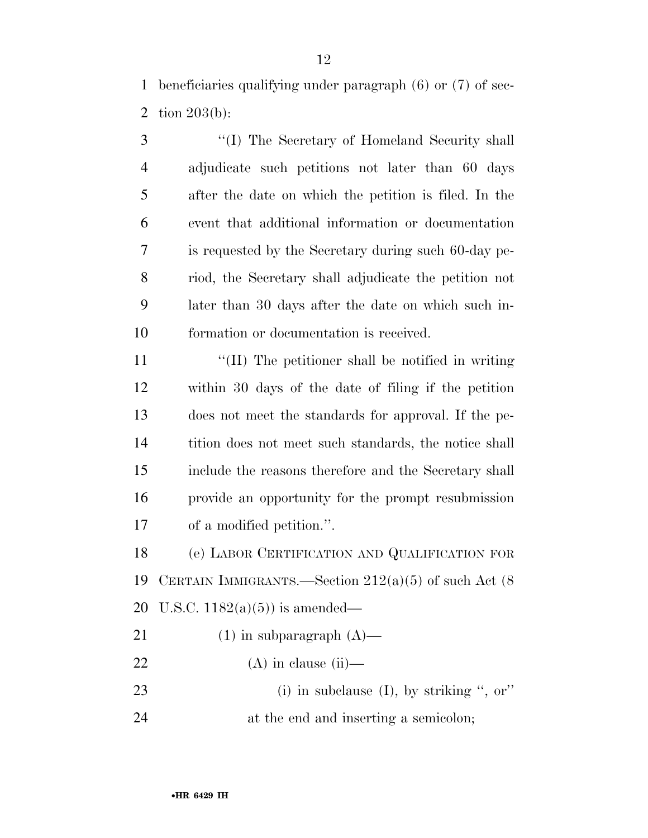beneficiaries qualifying under paragraph (6) or (7) of sec-tion 203(b):

 ''(I) The Secretary of Homeland Security shall adjudicate such petitions not later than 60 days after the date on which the petition is filed. In the event that additional information or documentation is requested by the Secretary during such 60-day pe- riod, the Secretary shall adjudicate the petition not later than 30 days after the date on which such in-formation or documentation is received.

11 ''(II) The petitioner shall be notified in writing within 30 days of the date of filing if the petition does not meet the standards for approval. If the pe- tition does not meet such standards, the notice shall include the reasons therefore and the Secretary shall provide an opportunity for the prompt resubmission of a modified petition.''.

 (e) LABOR CERTIFICATION AND QUALIFICATION FOR CERTAIN IMMIGRANTS.—Section 212(a)(5) of such Act (8 U.S.C. 1182(a)(5)) is amended—

- 21 (1) in subparagraph  $(A)$ —
- 22  $(A)$  in clause (ii)—
- 23 (i) in subclause (I), by striking ", or"
- at the end and inserting a semicolon;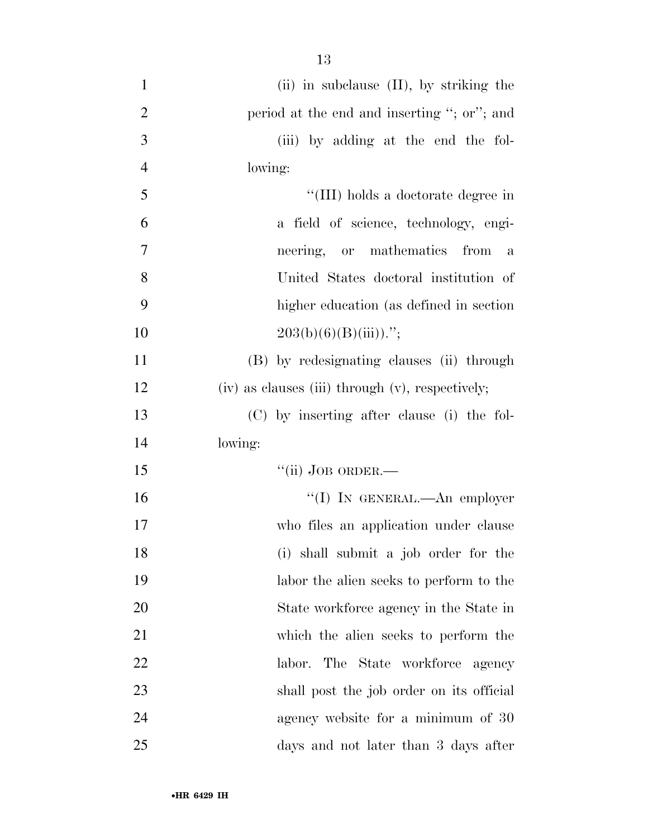| $\mathbf{1}$   | $(ii)$ in subclause $(II)$ , by striking the     |
|----------------|--------------------------------------------------|
| $\overline{2}$ | period at the end and inserting "; or"; and      |
| 3              | (iii) by adding at the end the fol-              |
| $\overline{4}$ | lowing:                                          |
| 5              | "(III) holds a doctorate degree in               |
| 6              | a field of science, technology, engi-            |
| 7              | neering, or mathematics<br>from<br>$\mathbf{a}$  |
| 8              | United States doctoral institution of            |
| 9              | higher education (as defined in section          |
| 10             | $203(b)(6)(B(iii))$ .";                          |
| 11             | (B) by redesignating clauses (ii) through        |
| 12             | (iv) as clauses (iii) through (v), respectively; |
| 13             | (C) by inserting after clause (i) the fol-       |
| 14             | lowing:                                          |
| 15             | $``$ (ii) JOB ORDER.-                            |
| 16             | "(I) IN GENERAL.—An employer                     |
| 17             | who files an application under clause            |
| 18             | (i) shall submit a job order for the             |
| 19             | labor the alien seeks to perform to the          |
| 20             | State workforce agency in the State in           |
| 21             | which the alien seeks to perform the             |
| 22             | labor. The State workforce<br>agency             |
| 23             | shall post the job order on its official         |
| 24             | agency website for a minimum of 30               |
| 25             | days and not later than 3 days after             |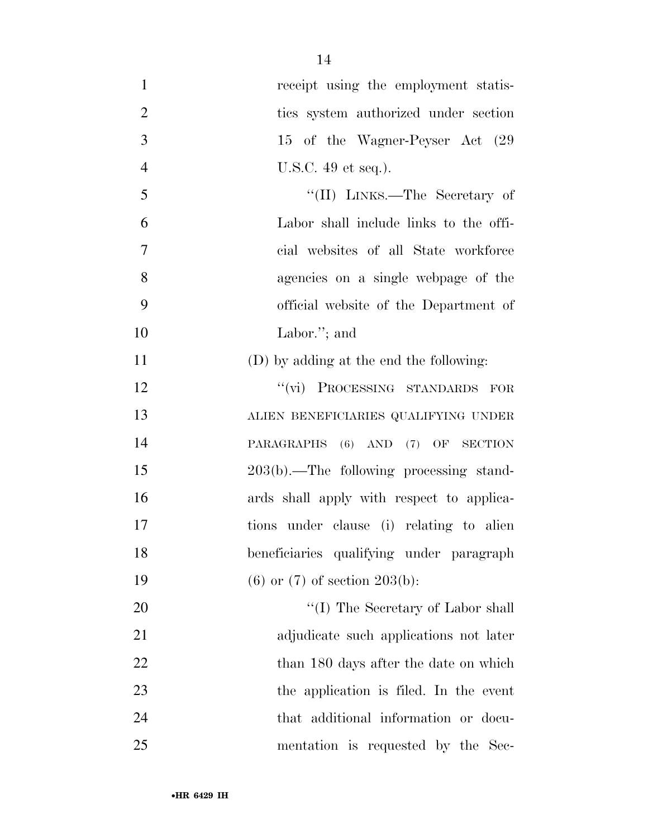| $\mathbf{1}$   | receipt using the employment statis-       |
|----------------|--------------------------------------------|
| $\overline{2}$ | ties system authorized under section       |
| 3              | 15 of the Wagner-Peyser Act (29            |
| $\overline{4}$ | U.S.C. 49 et seq.).                        |
| 5              | "(II) LINKS.—The Secretary of              |
| 6              | Labor shall include links to the offi-     |
| 7              | cial websites of all State workforce       |
| 8              | agencies on a single webpage of the        |
| 9              | official website of the Department of      |
| 10             | Labor."; and                               |
| 11             | (D) by adding at the end the following:    |
| 12             | "(vi) PROCESSING STANDARDS FOR             |
| 13             | ALIEN BENEFICIARIES QUALIFYING UNDER       |
| 14             | PARAGRAPHS (6) AND (7) OF SECTION          |
| 15             | $203(b)$ .—The following processing stand- |
| 16             | ards shall apply with respect to applica-  |
| 17             | tions under clause (i) relating to alien   |
| 18             | beneficiaries qualifying under paragraph   |
| 19             | $(6)$ or $(7)$ of section $203(b)$ :       |
| 20             | "(I) The Secretary of Labor shall          |
| 21             | adjudicate such applications not later     |
| 22             | than 180 days after the date on which      |
| 23             | the application is filed. In the event     |
| 24             | that additional information or docu-       |
| 25             | mentation is requested by the Sec-         |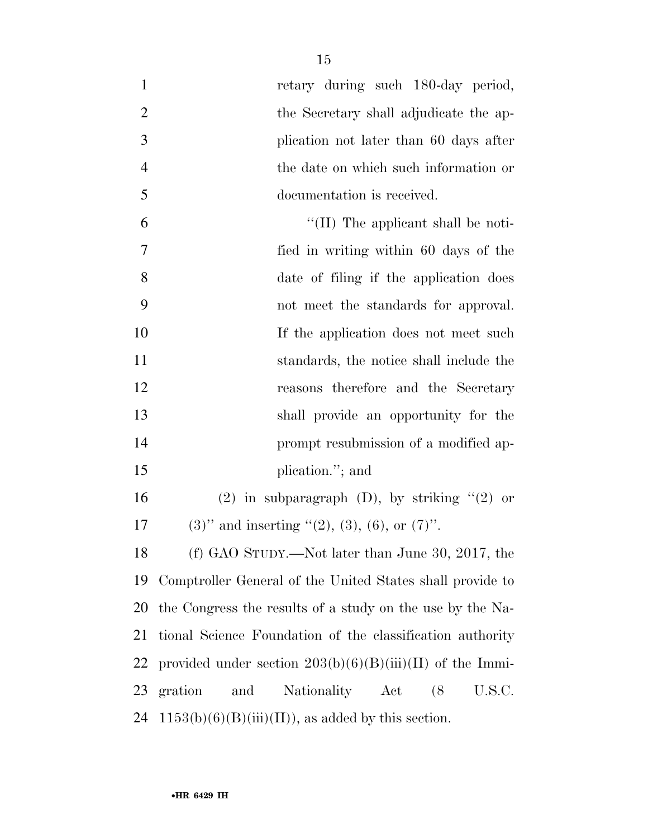| $\mathbf{1}$   | retary during such 180-day period,                          |
|----------------|-------------------------------------------------------------|
| $\overline{2}$ | the Secretary shall adjudicate the ap-                      |
| 3              | plication not later than 60 days after                      |
| $\overline{4}$ | the date on which such information or                       |
| 5              | documentation is received.                                  |
| 6              | "(II) The applicant shall be noti-                          |
| 7              | fied in writing within 60 days of the                       |
| 8              | date of filing if the application does                      |
| 9              | not meet the standards for approval.                        |
| 10             | If the application does not meet such                       |
| 11             | standards, the notice shall include the                     |
| 12             | reasons therefore and the Secretary                         |
| 13             | shall provide an opportunity for the                        |
| 14             | prompt resubmission of a modified ap-                       |
| 15             | plication."; and                                            |
| 16             | $(2)$ in subparagraph $(D)$ , by striking " $(2)$ or        |
| 17             | $(3)$ " and inserting " $(2)$ , $(3)$ , $(6)$ , or $(7)$ ". |
| 18             | (f) GAO STUDY.—Not later than June 30, 2017, the            |
| 19             | Comptroller General of the United States shall provide to   |
| 20             | the Congress the results of a study on the use by the Na-   |
| 21             | tional Science Foundation of the classification authority   |
| 22             | provided under section $203(b)(6)(B)(iii)(II)$ of the Immi- |
| 23             | gration and Nationality Act<br>(8)<br>U.S.C.                |
| 24             | $1153(b)(6)(B(iii)(II))$ , as added by this section.        |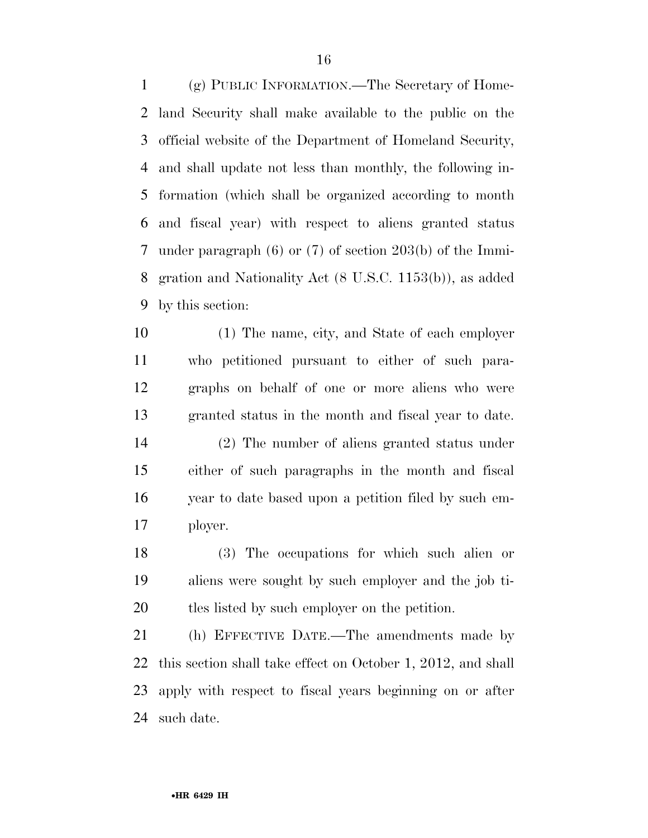(g) PUBLIC INFORMATION.—The Secretary of Home- land Security shall make available to the public on the official website of the Department of Homeland Security, and shall update not less than monthly, the following in- formation (which shall be organized according to month and fiscal year) with respect to aliens granted status under paragraph (6) or (7) of section 203(b) of the Immi- gration and Nationality Act (8 U.S.C. 1153(b)), as added by this section:

 (1) The name, city, and State of each employer who petitioned pursuant to either of such para- graphs on behalf of one or more aliens who were granted status in the month and fiscal year to date. (2) The number of aliens granted status under either of such paragraphs in the month and fiscal year to date based upon a petition filed by such em-ployer.

 (3) The occupations for which such alien or aliens were sought by such employer and the job ti-tles listed by such employer on the petition.

 (h) EFFECTIVE DATE.—The amendments made by this section shall take effect on October 1, 2012, and shall apply with respect to fiscal years beginning on or after such date.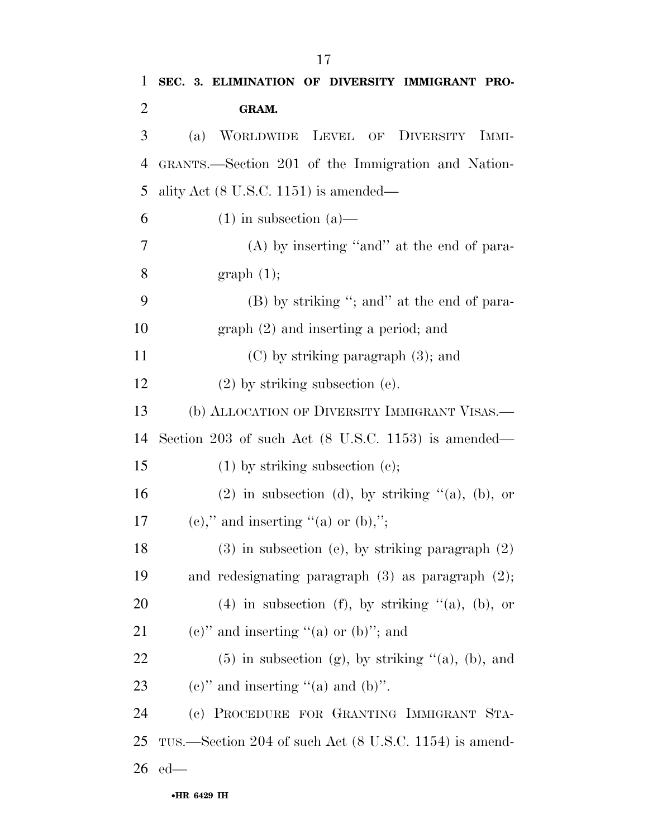| 1              | SEC. 3. ELIMINATION OF DIVERSITY IMMIGRANT PRO-            |
|----------------|------------------------------------------------------------|
| $\overline{2}$ | GRAM.                                                      |
| 3              | WORLDWIDE LEVEL OF DIVERSITY IMMI-<br>(a)                  |
| 4              | GRANTS.—Section 201 of the Immigration and Nation-         |
| 5              | ality Act $(8 \text{ U.S.C. } 1151)$ is amended—           |
| 6              | $(1)$ in subsection $(a)$ —                                |
| 7              | $(A)$ by inserting "and" at the end of para-               |
| $8\,$          | graph(1);                                                  |
| 9              | (B) by striking "; and" at the end of para-                |
| 10             | $graph (2)$ and inserting a period; and                    |
| 11             | $(C)$ by striking paragraph $(3)$ ; and                    |
| 12             | $(2)$ by striking subsection $(e)$ .                       |
| 13             | (b) ALLOCATION OF DIVERSITY IMMIGRANT VISAS.—              |
| 14             | Section 203 of such Act (8 U.S.C. 1153) is amended—        |
| 15             | $(1)$ by striking subsection $(e)$ ;                       |
| 16             | $(2)$ in subsection (d), by striking " $(a)$ , $(b)$ , or  |
| 17             | $(e)$ ," and inserting "(a) or $(b)$ ,";                   |
| 18             | $(3)$ in subsection (e), by striking paragraph $(2)$       |
| 19             | and redesignating paragraph $(3)$ as paragraph $(2)$ ;     |
| 20             | (4) in subsection (f), by striking $(4)$ , (b), or         |
| 21             | $(e)$ " and inserting "(a) or (b)"; and                    |
| 22             | $(5)$ in subsection (g), by striking " $(a)$ , $(b)$ , and |
| 23             | $(e)$ " and inserting "(a) and (b)".                       |
| 24             | (c) PROCEDURE FOR GRANTING IMMIGRANT STA-                  |
| 25             | TUS.—Section 204 of such Act (8 U.S.C. 1154) is amend-     |
| 26             | $ed$ —                                                     |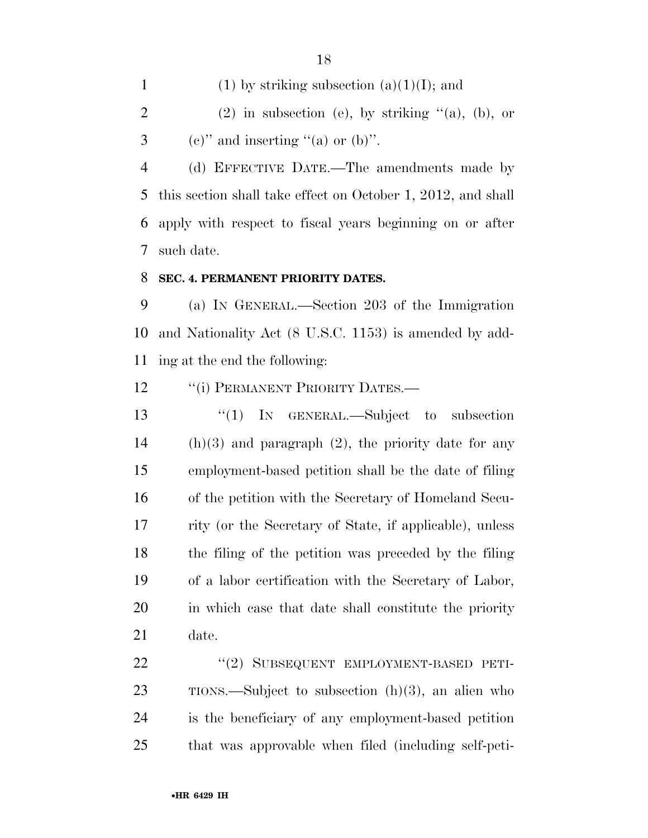1 (1) by striking subsection  $(a)(1)(I)$ ; and 2 (2) in subsection (e), by striking  $(4)$ , (b), or 3 (e)" and inserting "(a) or  $(b)$ ".

 (d) EFFECTIVE DATE.—The amendments made by this section shall take effect on October 1, 2012, and shall apply with respect to fiscal years beginning on or after such date.

#### **SEC. 4. PERMANENT PRIORITY DATES.**

 (a) IN GENERAL.—Section 203 of the Immigration and Nationality Act (8 U.S.C. 1153) is amended by add-ing at the end the following:

12 "(i) PERMANENT PRIORITY DATES.—

 ''(1) IN GENERAL.—Subject to subsection (h)(3) and paragraph (2), the priority date for any employment-based petition shall be the date of filing of the petition with the Secretary of Homeland Secu- rity (or the Secretary of State, if applicable), unless the filing of the petition was preceded by the filing of a labor certification with the Secretary of Labor, in which case that date shall constitute the priority date.

22 "(2) SUBSEQUENT EMPLOYMENT-BASED PETI- TIONS.—Subject to subsection (h)(3), an alien who is the beneficiary of any employment-based petition that was approvable when filed (including self-peti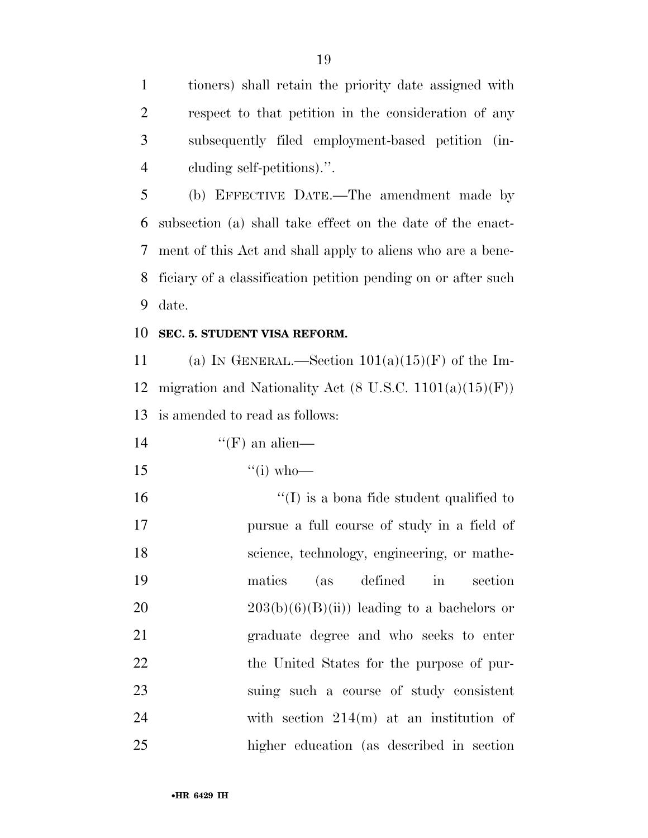tioners) shall retain the priority date assigned with respect to that petition in the consideration of any subsequently filed employment-based petition (in-cluding self-petitions).''.

 (b) EFFECTIVE DATE.—The amendment made by subsection (a) shall take effect on the date of the enact- ment of this Act and shall apply to aliens who are a bene- ficiary of a classification petition pending on or after such date.

#### **SEC. 5. STUDENT VISA REFORM.**

11 (a) IN GENERAL.—Section  $101(a)(15)(F)$  of the Im-12 migration and Nationality Act  $(8 \text{ U.S.C. } 1101(a)(15)(\text{F}))$ is amended to read as follows:

14  $"({\rm F})$  an alien—

15  $"$ (i) who—

 $\frac{1}{10}$  is a bona fide student qualified to pursue a full course of study in a field of science, technology, engineering, or mathe- matics (as defined in section  $203(b)(6)(B)(ii)$  leading to a bachelors or graduate degree and who seeks to enter 22 the United States for the purpose of pur- suing such a course of study consistent with section 214(m) at an institution of higher education (as described in section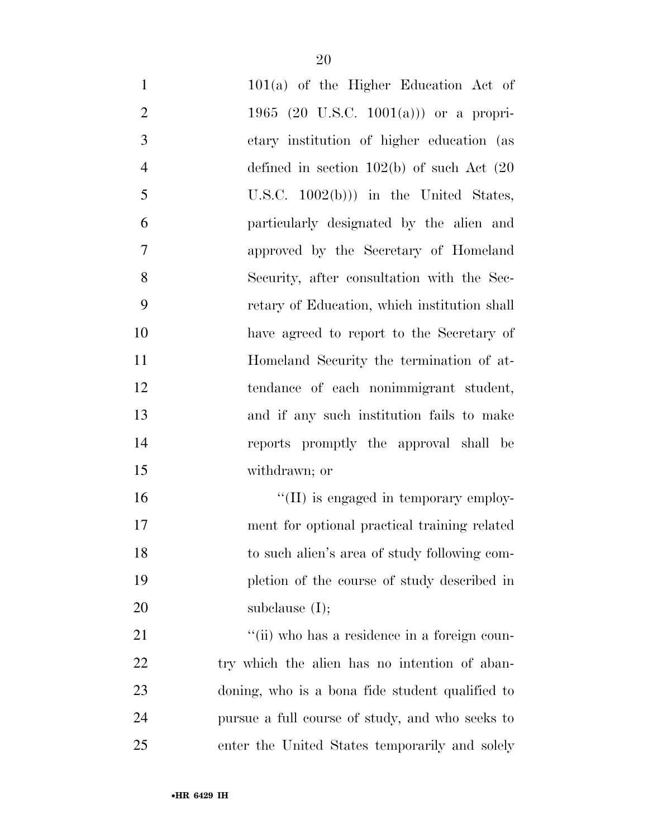| $\mathbf{1}$   | $101(a)$ of the Higher Education Act of         |
|----------------|-------------------------------------------------|
| $\overline{2}$ | 1965 (20 U.S.C. 1001(a))) or a propri-          |
| 3              | etary institution of higher education (as       |
| $\overline{4}$ | defined in section $102(b)$ of such Act $(20)$  |
| 5              | U.S.C. $1002(b))$ in the United States,         |
| 6              | particularly designated by the alien and        |
| $\overline{7}$ | approved by the Secretary of Homeland           |
| 8              | Security, after consultation with the Sec-      |
| 9              | retary of Education, which institution shall    |
| 10             | have agreed to report to the Secretary of       |
| 11             | Homeland Security the termination of at-        |
| 12             | tendance of each nonimmigrant student,          |
| 13             | and if any such institution fails to make       |
| 14             | reports promptly the approval shall be          |
| 15             | withdrawn; or                                   |
| 16             | "(II) is engaged in temporary employ-           |
| 17             | ment for optional practical training related    |
| 18             | to such alien's area of study following com-    |
| 19             | pletion of the course of study described in     |
| 20             | subclause $(I);$                                |
| 21             | "(ii) who has a residence in a foreign coun-    |
| <u>22</u>      | try which the alien has no intention of aban-   |
| 23             | doning, who is a bona fide student qualified to |
| 24             | pursue a full course of study, and who seeks to |
| 25             | enter the United States temporarily and solely  |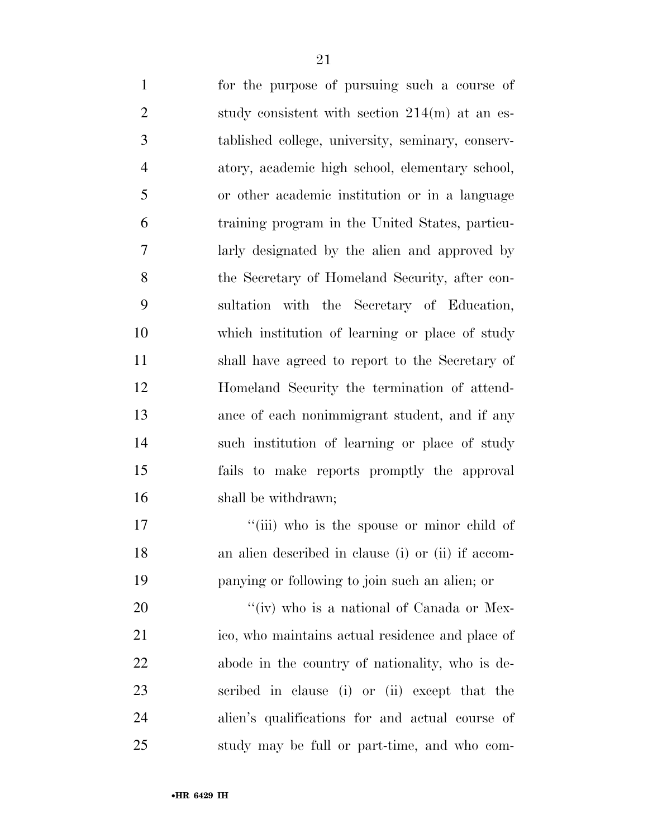for the purpose of pursuing such a course of 2 study consistent with section 214(m) at an es- tablished college, university, seminary, conserv- atory, academic high school, elementary school, or other academic institution or in a language training program in the United States, particu- larly designated by the alien and approved by the Secretary of Homeland Security, after con- sultation with the Secretary of Education, which institution of learning or place of study shall have agreed to report to the Secretary of Homeland Security the termination of attend- ance of each nonimmigrant student, and if any such institution of learning or place of study fails to make reports promptly the approval shall be withdrawn;

17 ''(iii) who is the spouse or minor child of an alien described in clause (i) or (ii) if accom-panying or following to join such an alien; or

20 "'(iv) who is a national of Canada or Mex- ico, who maintains actual residence and place of abode in the country of nationality, who is de- scribed in clause (i) or (ii) except that the alien's qualifications for and actual course of study may be full or part-time, and who com